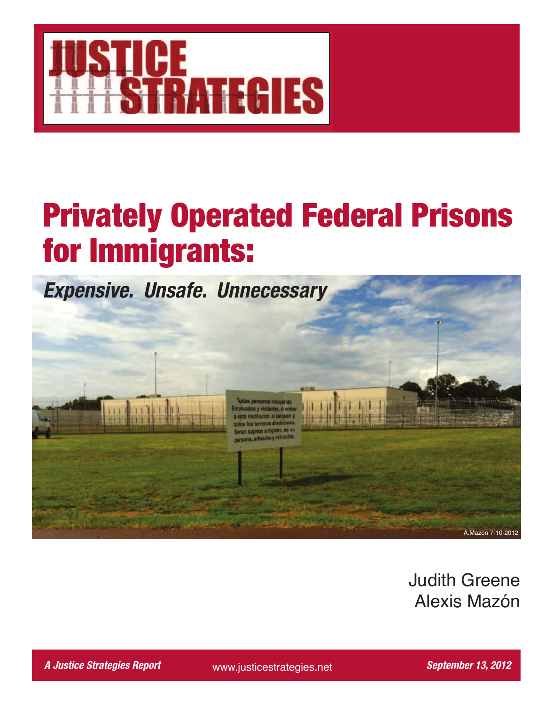

# **Privately Operated Federal Prisons for Immigrants:**



Judith Greene Alexis Mazón

*A Justice Strategies Report September 13, 2012*

www.justicestrategies.net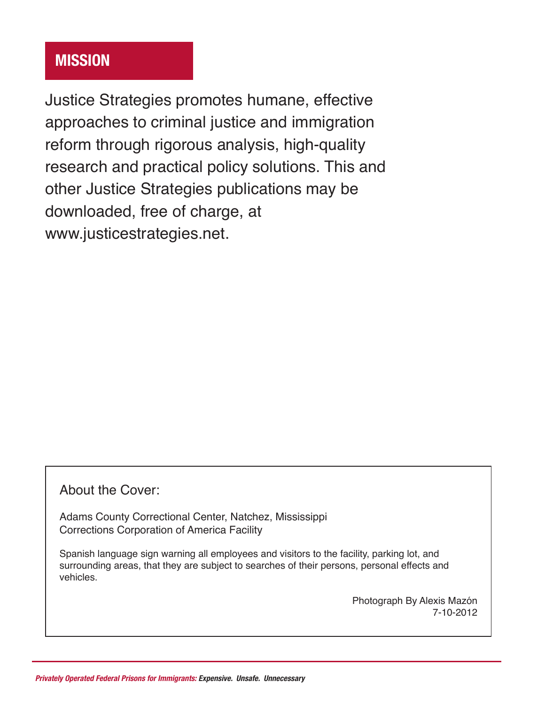# **Mission**

Justice Strategies promotes humane, effective approaches to criminal justice and immigration reform through rigorous analysis, high-quality research and practical policy solutions. This and other Justice Strategies publications may be downloaded, free of charge, at www.justicestrategies.net.

# About the Cover:

Adams County Correctional Center, Natchez, Mississippi Corrections Corporation of America Facility

Spanish language sign warning all employees and visitors to the facility, parking lot, and surrounding areas, that they are subject to searches of their persons, personal effects and vehicles.

> Photograph By Alexis Mazón 7-10-2012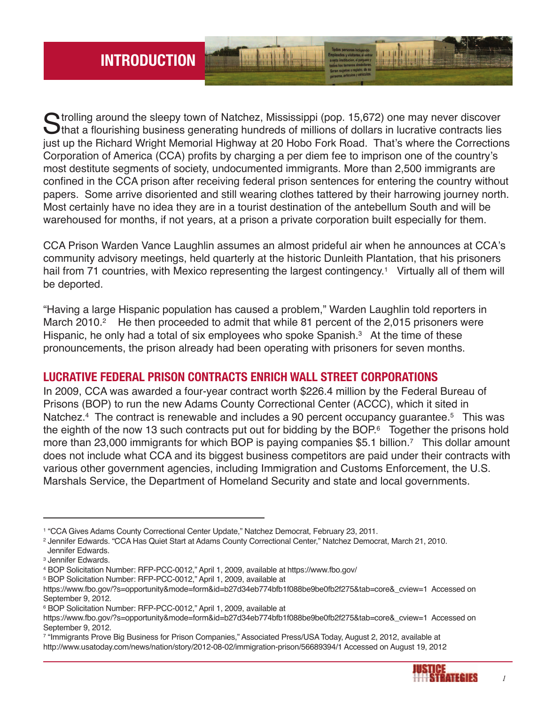$\bigcap$  trolling around the sleepy town of Natchez, Mississippi (pop. 15,672) one may never discover  $\bigcup$ that a flourishing business generating hundreds of millions of dollars in lucrative contracts lies just up the Richard Wright Memorial Highway at 20 Hobo Fork Road. That's where the Corrections Corporation of America (CCA) profits by charging a per diem fee to imprison one of the country's most destitute segments of society, undocumented immigrants. More than 2,500 immigrants are confined in the CCA prison after receiving federal prison sentences for entering the country without papers. Some arrive disoriented and still wearing clothes tattered by their harrowing journey north. Most certainly have no idea they are in a tourist destination of the antebellum South and will be warehoused for months, if not years, at a prison a private corporation built especially for them.

CCA Prison Warden Vance Laughlin assumes an almost prideful air when he announces at CCA's community advisory meetings, held quarterly at the historic Dunleith Plantation, that his prisoners hail from 71 countries, with Mexico representing the largest contingency.<sup>1</sup> Virtually all of them will be deported.

"Having a large Hispanic population has caused a problem," Warden Laughlin told reporters in March 2010.<sup>2</sup> He then proceeded to admit that while 81 percent of the 2,015 prisoners were Hispanic, he only had a total of six employees who spoke Spanish.<sup>3</sup> At the time of these pronouncements, the prison already had been operating with prisoners for seven months.

# **LucrAtiVE FEdErAL Prison contrActs EnricH WALL strEEt corPorAtions**

In 2009, CCA was awarded a four-year contract worth \$226.4 million by the Federal Bureau of Prisons (BOP) to run the new Adams County Correctional Center (ACCC), which it sited in Natchez.<sup>4</sup> The contract is renewable and includes a 90 percent occupancy guarantee.<sup>5</sup> This was the eighth of the now 13 such contracts put out for bidding by the BOP. <sup>6</sup> Together the prisons hold more than 23,000 immigrants for which BOP is paying companies \$5.1 billion. <sup>7</sup> This dollar amount does not include what CCA and its biggest business competitors are paid under their contracts with various other government agencies, including Immigration and Customs Enforcement, the U.S. Marshals Service, the Department of Homeland Security and state and local governments.

<sup>5</sup> BOP Solicitation Number: RFP-PCC-0012," April 1, 2009, available at

<sup>7</sup> "Immigrants Prove Big Business for Prison Companies," Associated Press/USA Today, August 2, 2012, available at http://www.usatoday.com/news/nation/story/2012-08-02/immigration-prison/56689394/1 Accessed on August 19, 2012



<sup>1</sup> "CCA Gives Adams County Correctional Center Update," Natchez Democrat, February 23, 2011.

<sup>2</sup> Jennifer Edwards. "CCA Has Quiet Start at Adams County Correctional Center," Natchez Democrat, March 21, 2010. Jennifer Edwards.

<sup>3</sup> Jennifer Edwards.

<sup>4</sup> BOP Solicitation Number: RFP-PCC-0012," April 1, 2009, available at https://www.fbo.gov/

https://www.fbo.gov/?s=opportunity&mode=form&id=b27d34eb774bfb1f088be9be0fb2f275&tab=core&\_cview=1 Accessed on September 9, 2012.

<sup>6</sup> BOP Solicitation Number: RFP-PCC-0012," April 1, 2009, available at

https://www.fbo.gov/?s=opportunity&mode=form&id=b27d34eb774bfb1f088be9be0fb2f275&tab=core&\_cview=1 Accessed on September 9, 2012.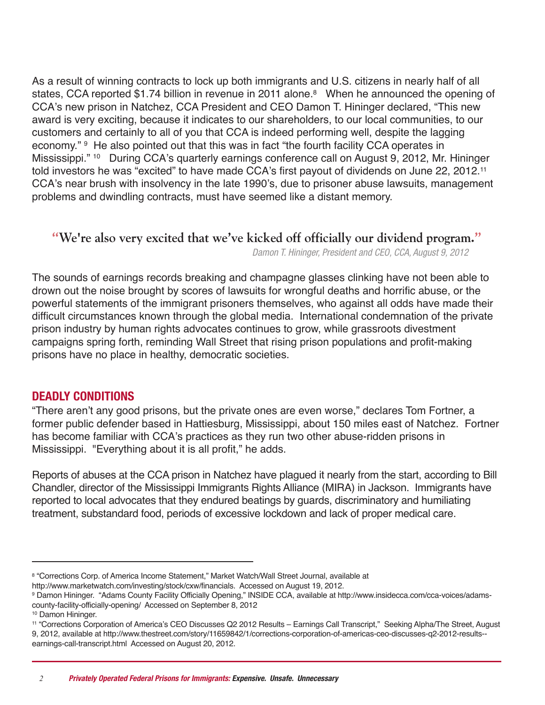As a result of winning contracts to lock up both immigrants and U.S. citizens in nearly half of all states, CCA reported \$1.74 billion in revenue in 2011 alone. <sup>8</sup> When he announced the opening of CCA's new prison in Natchez, CCA President and CEO Damon T. Hininger declared, "This new award is very exciting, because it indicates to our shareholders, to our local communities, to our customers and certainly to all of you that CCA is indeed performing well, despite the lagging economy." <sup>9</sup> He also pointed out that this was in fact "the fourth facility CCA operates in Mississippi." <sup>10</sup> During CCA's quarterly earnings conference call on August 9, 2012, Mr. Hininger told investors he was "excited" to have made CCA's first payout of dividends on June 22, 2012.<sup>11</sup> CCA's near brush with insolvency in the late 1990's, due to prisoner abuse lawsuits, management problems and dwindling contracts, must have seemed like a distant memory.

## **We're also very excited that we've kicked off officially our dividend program.**

*Damon T. Hininger, President and CEO, CCA, August 9, 2012*

The sounds of earnings records breaking and champagne glasses clinking have not been able to drown out the noise brought by scores of lawsuits for wrongful deaths and horrific abuse, or the powerful statements of the immigrant prisoners themselves, who against all odds have made their difficult circumstances known through the global media. International condemnation of the private prison industry by human rights advocates continues to grow, while grassroots divestment campaigns spring forth, reminding Wall Street that rising prison populations and profit-making prisons have no place in healthy, democratic societies.

#### **dEAdLY conditions**

"There aren't any good prisons, but the private ones are even worse," declares Tom Fortner, a former public defender based in Hattiesburg, Mississippi, about 150 miles east of Natchez. Fortner has become familiar with CCA's practices as they run two other abuse-ridden prisons in Mississippi. "Everything about it is all profit," he adds.

Reports of abuses at the CCA prison in Natchez have plagued it nearly from the start, according to Bill Chandler, director of the Mississippi Immigrants Rights Alliance (MIRA) in Jackson. Immigrants have reported to local advocates that they endured beatings by guards, discriminatory and humiliating treatment, substandard food, periods of excessive lockdown and lack of proper medical care.

http://www.marketwatch.com/investing/stock/cxw/financials. Accessed on August 19, 2012.

<sup>8 &</sup>quot;Corrections Corp. of America Income Statement," Market Watch/Wall Street Journal, available at

<sup>9</sup> Damon Hininger. "Adams County Facility Officially Opening," INSIDE CCA, available at http://www.insidecca.com/cca-voices/adamscounty-facility-officially-opening/ Accessed on September 8, 2012

<sup>10</sup> Damon Hininger.

<sup>11</sup> "Corrections Corporation of America's CEO Discusses Q2 2012 Results – Earnings Call Transcript," Seeking Alpha/The Street, August 9, 2012, available at http://www.thestreet.com/story/11659842/1/corrections-corporation-of-americas-ceo-discusses-q2-2012-results- earnings-call-transcript.html Accessed on August 20, 2012.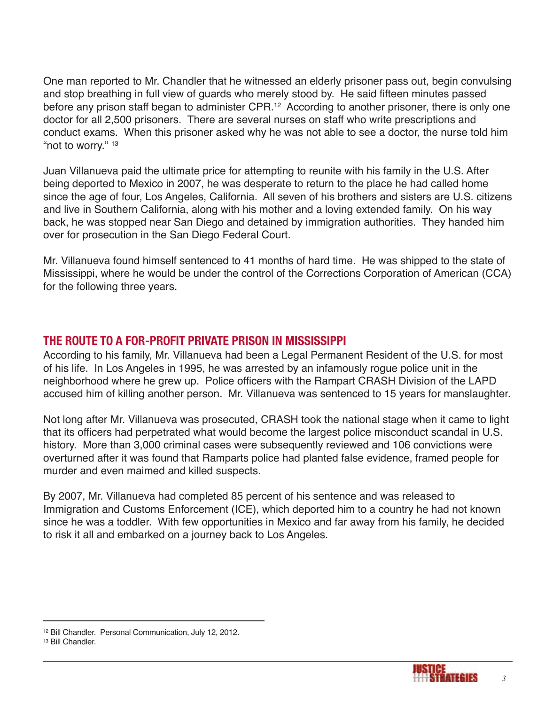One man reported to Mr. Chandler that he witnessed an elderly prisoner pass out, begin convulsing and stop breathing in full view of guards who merely stood by. He said fifteen minutes passed before any prison staff began to administer CPR.<sup>12</sup> According to another prisoner, there is only one doctor for all 2,500 prisoners. There are several nurses on staff who write prescriptions and conduct exams. When this prisoner asked why he was not able to see a doctor, the nurse told him "not to worry." 13

Juan Villanueva paid the ultimate price for attempting to reunite with his family in the U.S. After being deported to Mexico in 2007, he was desperate to return to the place he had called home since the age of four, Los Angeles, California. All seven of his brothers and sisters are U.S. citizens and live in Southern California, along with his mother and a loving extended family. On his way back, he was stopped near San Diego and detained by immigration authorities. They handed him over for prosecution in the San Diego Federal Court.

Mr. Villanueva found himself sentenced to 41 months of hard time. He was shipped to the state of Mississippi, where he would be under the control of the Corrections Corporation of American (CCA) for the following three years.

# **tHE routE to A For-ProFit PriVAtE Prison in MississiPPi**

According to his family, Mr. Villanueva had been a Legal Permanent Resident of the U.S. for most of his life. In Los Angeles in 1995, he was arrested by an infamously rogue police unit in the neighborhood where he grew up. Police officers with the Rampart CRASH Division of the LAPD accused him of killing another person. Mr. Villanueva was sentenced to 15 years for manslaughter.

Not long after Mr. Villanueva was prosecuted, CRASH took the national stage when it came to light that its officers had perpetrated what would become the largest police misconduct scandal in U.S. history. More than 3,000 criminal cases were subsequently reviewed and 106 convictions were overturned after it was found that Ramparts police had planted false evidence, framed people for murder and even maimed and killed suspects.

By 2007, Mr. Villanueva had completed 85 percent of his sentence and was released to Immigration and Customs Enforcement (ICE), which deported him to a country he had not known since he was a toddler. With few opportunities in Mexico and far away from his family, he decided to risk it all and embarked on a journey back to Los Angeles.



<sup>12</sup> Bill Chandler. Personal Communication, July 12, 2012.

<sup>13</sup> Bill Chandler.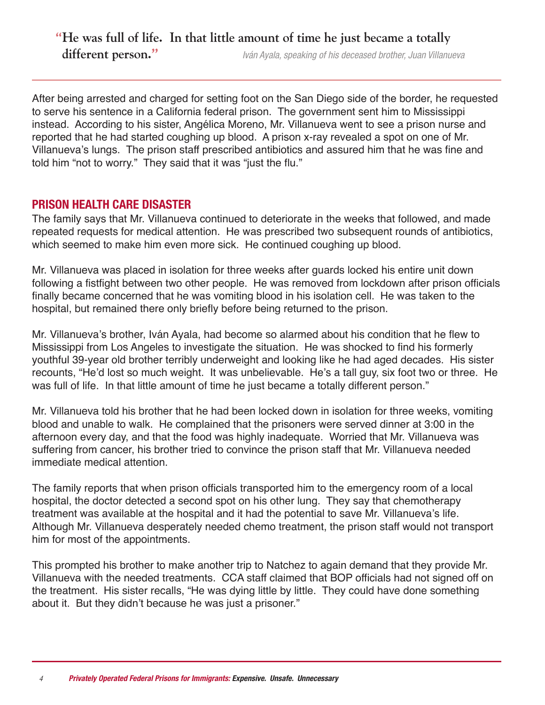# **He was full of life. In that little amount of time he just became a totally different person.** *Iván Ayala, speaking of his deceased brother, Juan Villanueva*

After being arrested and charged for setting foot on the San Diego side of the border, he requested to serve his sentence in a California federal prison. The government sent him to Mississippi instead. According to his sister, Angélica Moreno, Mr. Villanueva went to see a prison nurse and reported that he had started coughing up blood. A prison x-ray revealed a spot on one of Mr. Villanueva's lungs. The prison staff prescribed antibiotics and assured him that he was fine and told him "not to worry." They said that it was "just the flu."

#### **Prison HEALtH cArE disAstEr**

The family says that Mr. Villanueva continued to deteriorate in the weeks that followed, and made repeated requests for medical attention. He was prescribed two subsequent rounds of antibiotics, which seemed to make him even more sick. He continued coughing up blood.

Mr. Villanueva was placed in isolation for three weeks after guards locked his entire unit down following a fistfight between two other people. He was removed from lockdown after prison officials finally became concerned that he was vomiting blood in his isolation cell. He was taken to the hospital, but remained there only briefly before being returned to the prison.

Mr. Villanueva's brother, Iván Ayala, had become so alarmed about his condition that he flew to Mississippi from Los Angeles to investigate the situation. He was shocked to find his formerly youthful 39-year old brother terribly underweight and looking like he had aged decades. His sister recounts, "He'd lost so much weight. It was unbelievable. He's a tall guy, six foot two or three. He was full of life. In that little amount of time he just became a totally different person."

Mr. Villanueva told his brother that he had been locked down in isolation for three weeks, vomiting blood and unable to walk. He complained that the prisoners were served dinner at 3:00 in the afternoon every day, and that the food was highly inadequate. Worried that Mr. Villanueva was suffering from cancer, his brother tried to convince the prison staff that Mr. Villanueva needed immediate medical attention.

The family reports that when prison officials transported him to the emergency room of a local hospital, the doctor detected a second spot on his other lung. They say that chemotherapy treatment was available at the hospital and it had the potential to save Mr. Villanueva's life. Although Mr. Villanueva desperately needed chemo treatment, the prison staff would not transport him for most of the appointments.

This prompted his brother to make another trip to Natchez to again demand that they provide Mr. Villanueva with the needed treatments. CCA staff claimed that BOP officials had not signed off on the treatment. His sister recalls, "He was dying little by little. They could have done something about it. But they didn't because he was just a prisoner."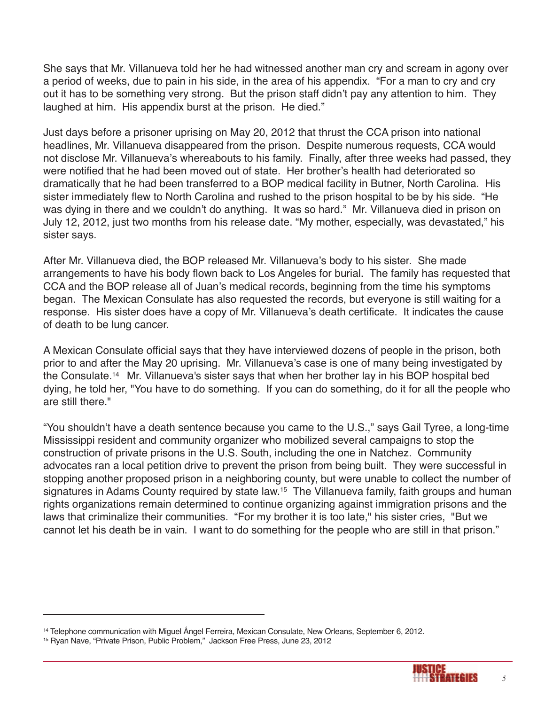She says that Mr. Villanueva told her he had witnessed another man cry and scream in agony over a period of weeks, due to pain in his side, in the area of his appendix. "For a man to cry and cry out it has to be something very strong. But the prison staff didn't pay any attention to him. They laughed at him. His appendix burst at the prison. He died."

Just days before a prisoner uprising on May 20, 2012 that thrust the CCA prison into national headlines, Mr. Villanueva disappeared from the prison. Despite numerous requests, CCA would not disclose Mr. Villanueva's whereabouts to his family. Finally, after three weeks had passed, they were notified that he had been moved out of state. Her brother's health had deteriorated so dramatically that he had been transferred to a BOP medical facility in Butner, North Carolina. His sister immediately flew to North Carolina and rushed to the prison hospital to be by his side. "He was dying in there and we couldn't do anything. It was so hard." Mr. Villanueva died in prison on July 12, 2012, just two months from his release date. "My mother, especially, was devastated," his sister says.

After Mr. Villanueva died, the BOP released Mr. Villanueva's body to his sister. She made arrangements to have his body flown back to Los Angeles for burial. The family has requested that CCA and the BOP release all of Juan's medical records, beginning from the time his symptoms began. The Mexican Consulate has also requested the records, but everyone is still waiting for a response. His sister does have a copy of Mr. Villanueva's death certificate. It indicates the cause of death to be lung cancer.

A Mexican Consulate official says that they have interviewed dozens of people in the prison, both prior to and after the May 20 uprising. Mr. Villanueva's case is one of many being investigated by the Consulate. <sup>14</sup> Mr. Villanueva's sister says that when her brother lay in his BOP hospital bed dying, he told her, "You have to do something. If you can do something, do it for all the people who are still there."

"You shouldn't have a death sentence because you came to the U.S.," says Gail Tyree, a long-time Mississippi resident and community organizer who mobilized several campaigns to stop the construction of private prisons in the U.S. South, including the one in Natchez. Community advocates ran a local petition drive to prevent the prison from being built. They were successful in stopping another proposed prison in a neighboring county, but were unable to collect the number of signatures in Adams County required by state law.<sup>15</sup> The Villanueva family, faith groups and human rights organizations remain determined to continue organizing against immigration prisons and the laws that criminalize their communities. "For my brother it is too late," his sister cries, "But we cannot let his death be in vain. I want to do something for the people who are still in that prison."



<sup>14</sup> Telephone communication with Miguel Ángel Ferreira, Mexican Consulate, New Orleans, September 6, 2012.

<sup>15</sup> Ryan Nave, "Private Prison, Public Problem," Jackson Free Press, June 23, 2012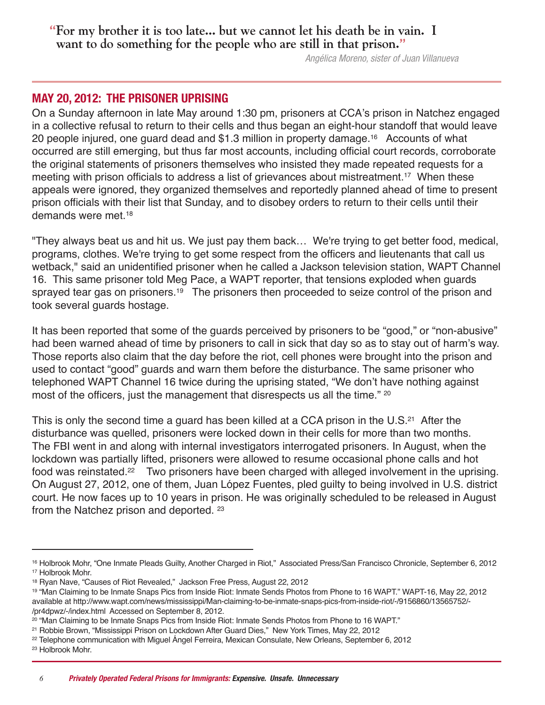# **For my brother it is too late... but we cannot let his death be in vain. I want to do something for the people who are still in that prison.**

*Angélica Moreno, sister of Juan Villanueva*

#### **MAY 20, 2012: tHE PrisonEr uPrisinG**

On a Sunday afternoon in late May around 1:30 pm, prisoners at CCA's prison in Natchez engaged in a collective refusal to return to their cells and thus began an eight-hour standoff that would leave 20 people injured, one guard dead and \$1.3 million in property damage. <sup>16</sup> Accounts of what occurred are still emerging, but thus far most accounts, including official court records, corroborate the original statements of prisoners themselves who insisted they made repeated requests for a meeting with prison officials to address a list of grievances about mistreatment. <sup>17</sup> When these appeals were ignored, they organized themselves and reportedly planned ahead of time to present prison officials with their list that Sunday, and to disobey orders to return to their cells until their demands were met. 18

"They always beat us and hit us. We just pay them back… We're trying to get better food, medical, programs, clothes. We're trying to get some respect from the officers and lieutenants that call us wetback," said an unidentified prisoner when he called a Jackson television station, WAPT Channel 16. This same prisoner told Meg Pace, a WAPT reporter, that tensions exploded when guards sprayed tear gas on prisoners.<sup>19</sup> The prisoners then proceeded to seize control of the prison and took several guards hostage.

It has been reported that some of the guards perceived by prisoners to be "good," or "non-abusive" had been warned ahead of time by prisoners to call in sick that day so as to stay out of harm's way. Those reports also claim that the day before the riot, cell phones were brought into the prison and used to contact "good" guards and warn them before the disturbance. The same prisoner who telephoned WAPT Channel 16 twice during the uprising stated, "We don't have nothing against most of the officers, just the management that disrespects us all the time." 20

This is only the second time a guard has been killed at a CCA prison in the U.S.<sup>21</sup> After the disturbance was quelled, prisoners were locked down in their cells for more than two months. The FBI went in and along with internal investigators interrogated prisoners. In August, when the lockdown was partially lifted, prisoners were allowed to resume occasional phone calls and hot food was reinstated.<sup>22</sup> Two prisoners have been charged with alleged involvement in the uprising. On August 27, 2012, one of them, Juan López Fuentes, pled guilty to being involved in U.S. district court. He now faces up to 10 years in prison. He was originally scheduled to be released in August from the Natchez prison and deported. <sup>23</sup>

<sup>16</sup> Holbrook Mohr, "One Inmate Pleads Guilty, Another Charged in Riot," Associated Press/San Francisco Chronicle, September 6, 2012 <sup>17</sup> Holbrook Mohr.

<sup>&</sup>lt;sup>18</sup> Ryan Nave, "Causes of Riot Revealed," Jackson Free Press, August 22, 2012

<sup>19</sup> "Man Claiming to be Inmate Snaps Pics from Inside Riot: Inmate Sends Photos from Phone to 16 WAPT." WAPT-16, May 22, 2012 available at http://www.wapt.com/news/mississippi/Man-claiming-to-be-inmate-snaps-pics-from-inside-riot/-/9156860/13565752/- /pr4dpwz/-/index.html Accessed on September 8, 2012.

<sup>20</sup> "Man Claiming to be Inmate Snaps Pics from Inside Riot: Inmate Sends Photos from Phone to 16 WAPT."

<sup>21</sup> Robbie Brown, "Mississippi Prison on Lockdown After Guard Dies," New York Times, May 22, 2012

<sup>22</sup> Telephone communication with Miguel Ángel Ferreira, Mexican Consulate, New Orleans, September 6, 2012

<sup>23</sup> Holbrook Mohr.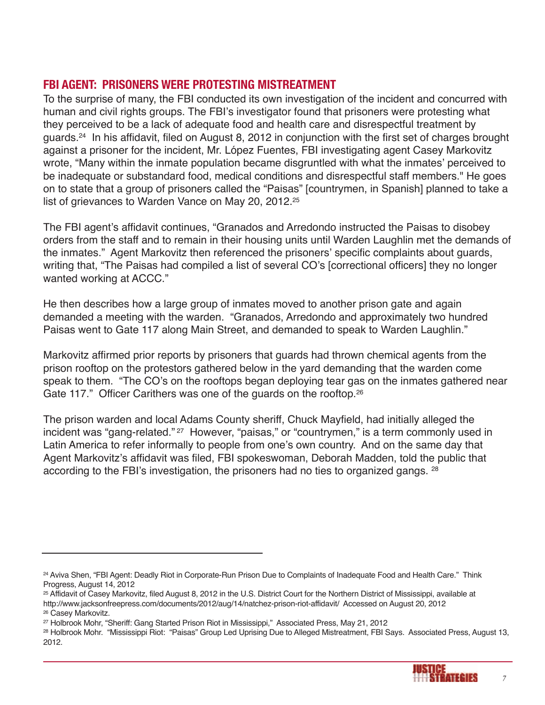# **FBi AGEnt: PrisonErs WErE ProtEstinG MistrEAtMEnt**

To the surprise of many, the FBI conducted its own investigation of the incident and concurred with human and civil rights groups. The FBI's investigator found that prisoners were protesting what they perceived to be a lack of adequate food and health care and disrespectful treatment by guards. <sup>24</sup> In his affidavit, filed on August 8, 2012 in conjunction with the first set of charges brought against a prisoner for the incident, Mr. López Fuentes, FBI investigating agent Casey Markovitz wrote, "Many within the inmate population became disgruntled with what the inmates' perceived to be inadequate or substandard food, medical conditions and disrespectful staff members." He goes on to state that a group of prisoners called the "Paisas" [countrymen, in Spanish] planned to take a list of grievances to Warden Vance on May 20, 2012. 25

The FBI agent's affidavit continues, "Granados and Arredondo instructed the Paisas to disobey orders from the staff and to remain in their housing units until Warden Laughlin met the demands of the inmates." Agent Markovitz then referenced the prisoners' specific complaints about guards, writing that, "The Paisas had compiled a list of several CO's [correctional officers] they no longer wanted working at ACCC."

He then describes how a large group of inmates moved to another prison gate and again demanded a meeting with the warden. "Granados, Arredondo and approximately two hundred Paisas went to Gate 117 along Main Street, and demanded to speak to Warden Laughlin."

Markovitz affirmed prior reports by prisoners that guards had thrown chemical agents from the prison rooftop on the protestors gathered below in the yard demanding that the warden come speak to them. "The CO's on the rooftops began deploying tear gas on the inmates gathered near Gate 117." Officer Carithers was one of the guards on the rooftop.<sup>26</sup>

The prison warden and local Adams County sheriff, Chuck Mayfield, had initially alleged the incident was "gang-related."<sup>27</sup> However, "paisas," or "countrymen," is a term commonly used in Latin America to refer informally to people from one's own country. And on the same day that Agent Markovitz's affidavit was filed, FBI spokeswoman, Deborah Madden, told the public that according to the FBI's investigation, the prisoners had no ties to organized gangs. <sup>28</sup>

<sup>28</sup> Holbrook Mohr. "Mississippi Riot: "Paisas" Group Led Uprising Due to Alleged Mistreatment, FBI Says. Associated Press, August 13, 2012.



<sup>24</sup> Aviva Shen, "FBI Agent: Deadly Riot in Corporate-Run Prison Due to Complaints of Inadequate Food and Health Care." Think Progress, August 14, 2012

<sup>25</sup> Affidavit of Casey Markovitz, filed August 8, 2012 in the U.S. District Court for the Northern District of Mississippi, available at http://www.jacksonfreepress.com/documents/2012/aug/14/natchez-prison-riot-affidavit/ Accessed on August 20, 2012

<sup>26</sup> Casey Markovitz.

<sup>27</sup> Holbrook Mohr, "Sheriff: Gang Started Prison Riot in Mississippi," Associated Press, May 21, 2012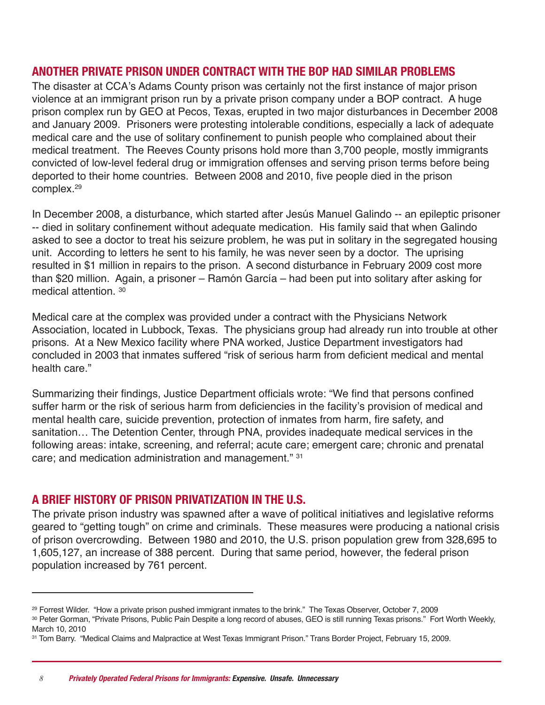#### **AnotHEr PriVAtE Prison undEr contrAct WitH tHE BoP HAd siMiLAr ProBLEMs**

The disaster at CCA's Adams County prison was certainly not the first instance of major prison violence at an immigrant prison run by a private prison company under a BOP contract. A huge prison complex run by GEO at Pecos, Texas, erupted in two major disturbances in December 2008 and January 2009. Prisoners were protesting intolerable conditions, especially a lack of adequate medical care and the use of solitary confinement to punish people who complained about their medical treatment. The Reeves County prisons hold more than 3,700 people, mostly immigrants convicted of low-level federal drug or immigration offenses and serving prison terms before being deported to their home countries. Between 2008 and 2010, five people died in the prison complex. 29

In December 2008, a disturbance, which started after Jesús Manuel Galindo -- an epileptic prisoner -- died in solitary confinement without adequate medication. His family said that when Galindo asked to see a doctor to treat his seizure problem, he was put in solitary in the segregated housing unit. According to letters he sent to his family, he was never seen by a doctor. The uprising resulted in \$1 million in repairs to the prison. A second disturbance in February 2009 cost more than \$20 million. Again, a prisoner – Ramón García – had been put into solitary after asking for medical attention. <sup>30</sup>

Medical care at the complex was provided under a contract with the Physicians Network Association, located in Lubbock, Texas. The physicians group had already run into trouble at other prisons. At a New Mexico facility where PNA worked, Justice Department investigators had concluded in 2003 that inmates suffered "risk of serious harm from deficient medical and mental health care."

Summarizing their findings, Justice Department officials wrote: "We find that persons confined suffer harm or the risk of serious harm from deficiencies in the facility's provision of medical and mental health care, suicide prevention, protection of inmates from harm, fire safety, and sanitation… The Detention Center, through PNA, provides inadequate medical services in the following areas: intake, screening, and referral; acute care; emergent care; chronic and prenatal care; and medication administration and management." <sup>31</sup>

#### **A BriEF HistorY oF Prison PriVAtiZAtion in tHE u.s.**

The private prison industry was spawned after a wave of political initiatives and legislative reforms geared to "getting tough" on crime and criminals. These measures were producing a national crisis of prison overcrowding. Between 1980 and 2010, the U.S. prison population grew from 328,695 to 1,605,127, an increase of 388 percent. During that same period, however, the federal prison population increased by 761 percent.

<sup>29</sup> Forrest Wilder. "How a private prison pushed immigrant inmates to the brink." The Texas Observer, October 7, 2009

<sup>30</sup> Peter Gorman, "Private Prisons, Public Pain Despite a long record of abuses, GEO is still running Texas prisons." Fort Worth Weekly, March 10, 2010

<sup>31</sup> Tom Barry. "Medical Claims and Malpractice at West Texas Immigrant Prison." Trans Border Project, February 15, 2009.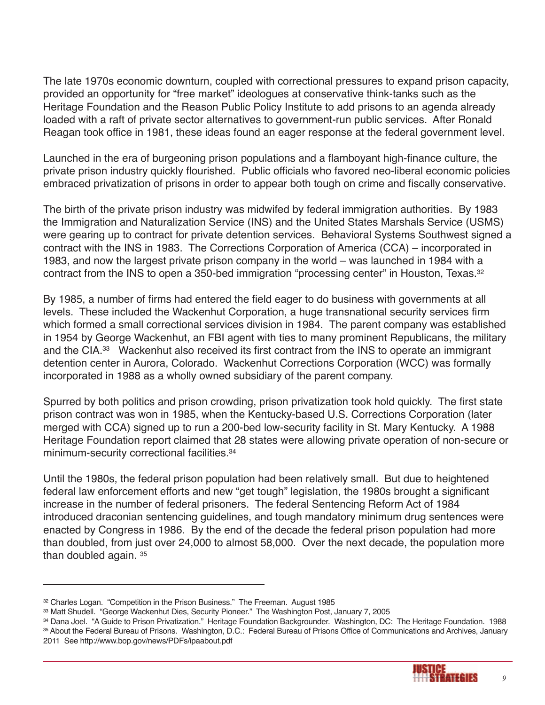The late 1970s economic downturn, coupled with correctional pressures to expand prison capacity, provided an opportunity for "free market" ideologues at conservative think-tanks such as the Heritage Foundation and the Reason Public Policy Institute to add prisons to an agenda already loaded with a raft of private sector alternatives to government-run public services. After Ronald Reagan took office in 1981, these ideas found an eager response at the federal government level.

Launched in the era of burgeoning prison populations and a flamboyant high-finance culture, the private prison industry quickly flourished. Public officials who favored neo-liberal economic policies embraced privatization of prisons in order to appear both tough on crime and fiscally conservative.

The birth of the private prison industry was midwifed by federal immigration authorities. By 1983 the Immigration and Naturalization Service (INS) and the United States Marshals Service (USMS) were gearing up to contract for private detention services. Behavioral Systems Southwest signed a contract with the INS in 1983. The Corrections Corporation of America (CCA) – incorporated in 1983, and now the largest private prison company in the world – was launched in 1984 with a contract from the INS to open a 350-bed immigration "processing center" in Houston, Texas. 32

By 1985, a number of firms had entered the field eager to do business with governments at all levels. These included the Wackenhut Corporation, a huge transnational security services firm which formed a small correctional services division in 1984. The parent company was established in 1954 by George Wackenhut, an FBI agent with ties to many prominent Republicans, the military and the CIA.<sup>33</sup> Wackenhut also received its first contract from the INS to operate an immigrant detention center in Aurora, Colorado. Wackenhut Corrections Corporation (WCC) was formally incorporated in 1988 as a wholly owned subsidiary of the parent company.

Spurred by both politics and prison crowding, prison privatization took hold quickly. The first state prison contract was won in 1985, when the Kentucky-based U.S. Corrections Corporation (later merged with CCA) signed up to run a 200-bed low-security facility in St. Mary Kentucky. A 1988 Heritage Foundation report claimed that 28 states were allowing private operation of non-secure or minimum-security correctional facilities. 34

Until the 1980s, the federal prison population had been relatively small. But due to heightened federal law enforcement efforts and new "get tough" legislation, the 1980s brought a significant increase in the number of federal prisoners. The federal Sentencing Reform Act of 1984 introduced draconian sentencing guidelines, and tough mandatory minimum drug sentences were enacted by Congress in 1986. By the end of the decade the federal prison population had more than doubled, from just over 24,000 to almost 58,000. Over the next decade, the population more than doubled again. <sup>35</sup>

<sup>34</sup> Dana Joel. "A Guide to Prison Privatization." Heritage Foundation Backgrounder. Washington, DC: The Heritage Foundation. 1988 35 About the Federal Bureau of Prisons. Washington, D.C.: Federal Bureau of Prisons Office of Communications and Archives, January 2011 See http://www.bop.gov/news/PDFs/ipaabout.pdf



<sup>&</sup>lt;sup>32</sup> Charles Logan. "Competition in the Prison Business." The Freeman. August 1985

<sup>33</sup> Matt Shudell. "George Wackenhut Dies, Security Pioneer." The Washington Post, January 7, 2005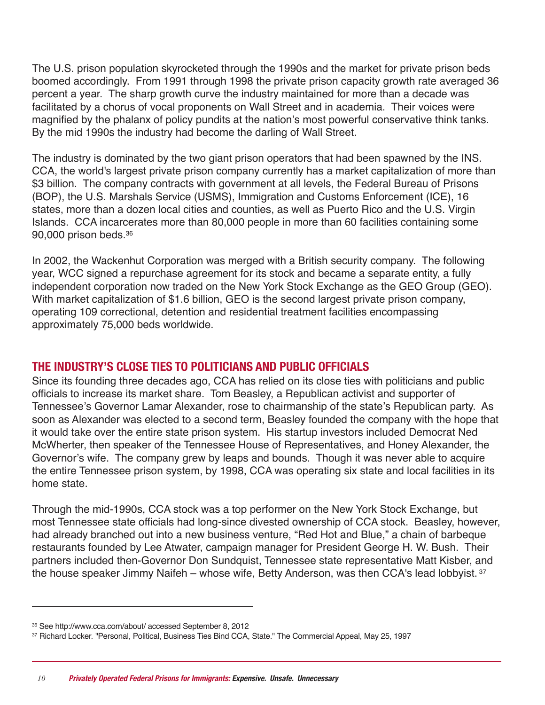The U.S. prison population skyrocketed through the 1990s and the market for private prison beds boomed accordingly. From 1991 through 1998 the private prison capacity growth rate averaged 36 percent a year. The sharp growth curve the industry maintained for more than a decade was facilitated by a chorus of vocal proponents on Wall Street and in academia. Their voices were magnified by the phalanx of policy pundits at the nation's most powerful conservative think tanks. By the mid 1990s the industry had become the darling of Wall Street.

The industry is dominated by the two giant prison operators that had been spawned by the INS. CCA, the world's largest private prison company currently has a market capitalization of more than \$3 billion. The company contracts with government at all levels, the Federal Bureau of Prisons (BOP), the U.S. Marshals Service (USMS), Immigration and Customs Enforcement (ICE), 16 states, more than a dozen local cities and counties, as well as Puerto Rico and the U.S. Virgin Islands. CCA incarcerates more than 80,000 people in more than 60 facilities containing some 90,000 prison beds. 36

In 2002, the Wackenhut Corporation was merged with a British security company. The following year, WCC signed a repurchase agreement for its stock and became a separate entity, a fully independent corporation now traded on the New York Stock Exchange as the GEO Group (GEO). With market capitalization of \$1.6 billion, GEO is the second largest private prison company, operating 109 correctional, detention and residential treatment facilities encompassing approximately 75,000 beds worldwide.

#### **tHE industrY's cLosE tiEs to PoLiticiAns And PuBLic oFFiciALs**

Since its founding three decades ago, CCA has relied on its close ties with politicians and public officials to increase its market share. Tom Beasley, a Republican activist and supporter of Tennessee's Governor Lamar Alexander, rose to chairmanship of the state's Republican party. As soon as Alexander was elected to a second term, Beasley founded the company with the hope that it would take over the entire state prison system. His startup investors included Democrat Ned McWherter, then speaker of the Tennessee House of Representatives, and Honey Alexander, the Governor's wife. The company grew by leaps and bounds. Though it was never able to acquire the entire Tennessee prison system, by 1998, CCA was operating six state and local facilities in its home state.

Through the mid-1990s, CCA stock was a top performer on the New York Stock Exchange, but most Tennessee state officials had long-since divested ownership of CCA stock. Beasley, however, had already branched out into a new business venture, "Red Hot and Blue," a chain of barbeque restaurants founded by Lee Atwater, campaign manager for President George H. W. Bush. Their partners included then-Governor Don Sundquist, Tennessee state representative Matt Kisber, and the house speaker Jimmy Naifeh – whose wife, Betty Anderson, was then CCA's lead lobbyist. 37

<sup>36</sup> See http://www.cca.com/about/ accessed September 8, 2012

<sup>37</sup> Richard Locker. ''Personal, Political, Business Ties Bind CCA, State." The Commercial Appeal, May 25, 1997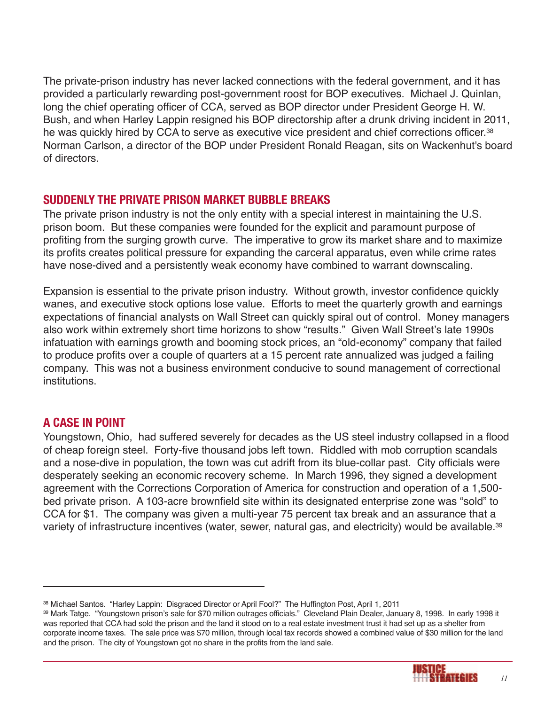The private-prison industry has never lacked connections with the federal government, and it has provided a particularly rewarding post-government roost for BOP executives. Michael J. Quinlan, long the chief operating officer of CCA, served as BOP director under President George H. W. Bush, and when Harley Lappin resigned his BOP directorship after a drunk driving incident in 2011, he was quickly hired by CCA to serve as executive vice president and chief corrections officer.<sup>38</sup> Norman Carlson, a director of the BOP under President Ronald Reagan, sits on Wackenhut's board of directors.

## **suddEnLY tHE PriVAtE Prison MArKEt BuBBLE BrEAKs**

The private prison industry is not the only entity with a special interest in maintaining the U.S. prison boom. But these companies were founded for the explicit and paramount purpose of profiting from the surging growth curve. The imperative to grow its market share and to maximize its profits creates political pressure for expanding the carceral apparatus, even while crime rates have nose-dived and a persistently weak economy have combined to warrant downscaling.

Expansion is essential to the private prison industry. Without growth, investor confidence quickly wanes, and executive stock options lose value. Efforts to meet the quarterly growth and earnings expectations of financial analysts on Wall Street can quickly spiral out of control. Money managers also work within extremely short time horizons to show "results." Given Wall Street's late 1990s infatuation with earnings growth and booming stock prices, an "old-economy" company that failed to produce profits over a couple of quarters at a 15 percent rate annualized was judged a failing company. This was not a business environment conducive to sound management of correctional institutions.

## **A cAsE in Point**

Youngstown, Ohio, had suffered severely for decades as the US steel industry collapsed in a flood of cheap foreign steel. Forty-five thousand jobs left town. Riddled with mob corruption scandals and a nose-dive in population, the town was cut adrift from its blue-collar past. City officials were desperately seeking an economic recovery scheme. In March 1996, they signed a development agreement with the Corrections Corporation of America for construction and operation of a 1,500 bed private prison. A 103-acre brownfield site within its designated enterprise zone was "sold" to CCA for \$1. The company was given a multi-year 75 percent tax break and an assurance that a variety of infrastructure incentives (water, sewer, natural gas, and electricity) would be available. 39

<sup>39</sup> Mark Tatge. "Youngstown prison's sale for \$70 million outrages officials." Cleveland Plain Dealer, January 8, 1998. In early 1998 it was reported that CCA had sold the prison and the land it stood on to a real estate investment trust it had set up as a shelter from corporate income taxes. The sale price was \$70 million, through local tax records showed a combined value of \$30 million for the land and the prison. The city of Youngstown got no share in the profits from the land sale.



<sup>38</sup> Michael Santos. "Harley Lappin: Disgraced Director or April Fool?" The Huffington Post, April 1, 2011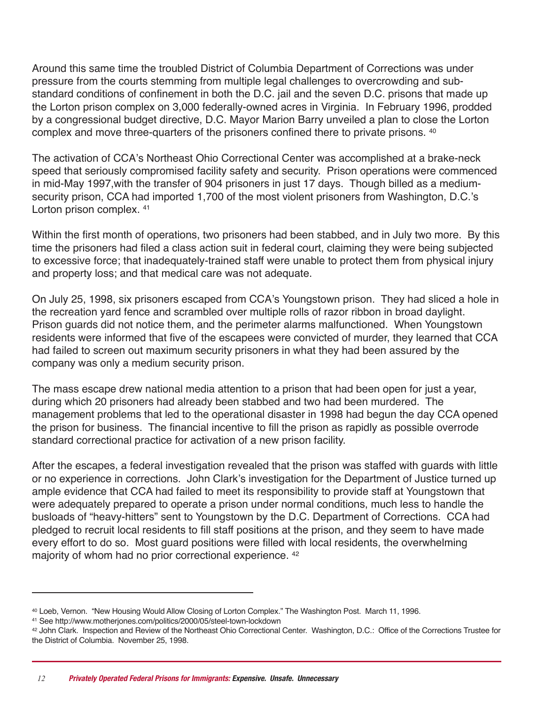Around this same time the troubled District of Columbia Department of Corrections was under pressure from the courts stemming from multiple legal challenges to overcrowding and substandard conditions of confinement in both the D.C. jail and the seven D.C. prisons that made up the Lorton prison complex on 3,000 federally-owned acres in Virginia. In February 1996, prodded by a congressional budget directive, D.C. Mayor Marion Barry unveiled a plan to close the Lorton complex and move three-quarters of the prisoners confined there to private prisons. <sup>40</sup>

The activation of CCA's Northeast Ohio Correctional Center was accomplished at a brake-neck speed that seriously compromised facility safety and security. Prison operations were commenced in mid-May 1997,with the transfer of 904 prisoners in just 17 days. Though billed as a mediumsecurity prison, CCA had imported 1,700 of the most violent prisoners from Washington, D.C.'s Lorton prison complex. <sup>41</sup>

Within the first month of operations, two prisoners had been stabbed, and in July two more. By this time the prisoners had filed a class action suit in federal court, claiming they were being subjected to excessive force; that inadequately-trained staff were unable to protect them from physical injury and property loss; and that medical care was not adequate.

On July 25, 1998, six prisoners escaped from CCA's Youngstown prison. They had sliced a hole in the recreation yard fence and scrambled over multiple rolls of razor ribbon in broad daylight. Prison guards did not notice them, and the perimeter alarms malfunctioned. When Youngstown residents were informed that five of the escapees were convicted of murder, they learned that CCA had failed to screen out maximum security prisoners in what they had been assured by the company was only a medium security prison.

The mass escape drew national media attention to a prison that had been open for just a year, during which 20 prisoners had already been stabbed and two had been murdered. The management problems that led to the operational disaster in 1998 had begun the day CCA opened the prison for business. The financial incentive to fill the prison as rapidly as possible overrode standard correctional practice for activation of a new prison facility.

After the escapes, a federal investigation revealed that the prison was staffed with guards with little or no experience in corrections. John Clark's investigation for the Department of Justice turned up ample evidence that CCA had failed to meet its responsibility to provide staff at Youngstown that were adequately prepared to operate a prison under normal conditions, much less to handle the busloads of "heavy-hitters" sent to Youngstown by the D.C. Department of Corrections. CCA had pledged to recruit local residents to fill staff positions at the prison, and they seem to have made every effort to do so. Most guard positions were filled with local residents, the overwhelming majority of whom had no prior correctional experience. <sup>42</sup>

<sup>40</sup> Loeb, Vernon. "New Housing Would Allow Closing of Lorton Complex." The Washington Post. March 11, 1996.

<sup>41</sup> See http://www.motherjones.com/politics/2000/05/steel-town-lockdown

<sup>42</sup> John Clark. Inspection and Review of the Northeast Ohio Correctional Center. Washington, D.C.: Office of the Corrections Trustee for the District of Columbia. November 25, 1998.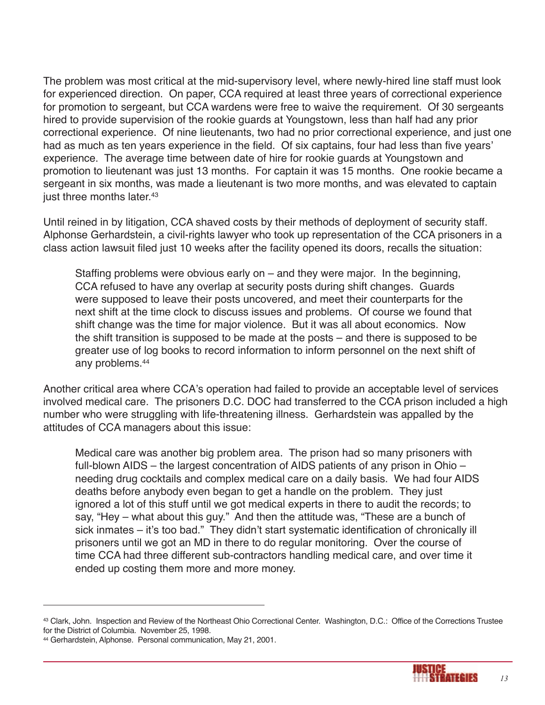The problem was most critical at the mid-supervisory level, where newly-hired line staff must look for experienced direction. On paper, CCA required at least three years of correctional experience for promotion to sergeant, but CCA wardens were free to waive the requirement. Of 30 sergeants hired to provide supervision of the rookie guards at Youngstown, less than half had any prior correctional experience. Of nine lieutenants, two had no prior correctional experience, and just one had as much as ten years experience in the field. Of six captains, four had less than five years' experience. The average time between date of hire for rookie guards at Youngstown and promotion to lieutenant was just 13 months. For captain it was 15 months. One rookie became a sergeant in six months, was made a lieutenant is two more months, and was elevated to captain just three months later. 43

Until reined in by litigation, CCA shaved costs by their methods of deployment of security staff. Alphonse Gerhardstein, a civil-rights lawyer who took up representation of the CCA prisoners in a class action lawsuit filed just 10 weeks after the facility opened its doors, recalls the situation:

Staffing problems were obvious early on – and they were major. In the beginning, CCA refused to have any overlap at security posts during shift changes. Guards were supposed to leave their posts uncovered, and meet their counterparts for the next shift at the time clock to discuss issues and problems. Of course we found that shift change was the time for major violence. But it was all about economics. Now the shift transition is supposed to be made at the posts – and there is supposed to be greater use of log books to record information to inform personnel on the next shift of any problems. 44

Another critical area where CCA's operation had failed to provide an acceptable level of services involved medical care. The prisoners D.C. DOC had transferred to the CCA prison included a high number who were struggling with life-threatening illness. Gerhardstein was appalled by the attitudes of CCA managers about this issue:

Medical care was another big problem area. The prison had so many prisoners with full-blown AIDS – the largest concentration of AIDS patients of any prison in Ohio – needing drug cocktails and complex medical care on a daily basis. We had four AIDS deaths before anybody even began to get a handle on the problem. They just ignored a lot of this stuff until we got medical experts in there to audit the records; to say, "Hey – what about this guy." And then the attitude was, "These are a bunch of sick inmates – it's too bad." They didn't start systematic identification of chronically ill prisoners until we got an MD in there to do regular monitoring. Over the course of time CCA had three different sub-contractors handling medical care, and over time it ended up costing them more and more money.



<sup>43</sup> Clark, John. Inspection and Review of the Northeast Ohio Correctional Center. Washington, D.C.: Office of the Corrections Trustee for the District of Columbia. November 25, 1998.

<sup>44</sup> Gerhardstein, Alphonse. Personal communication, May 21, 2001.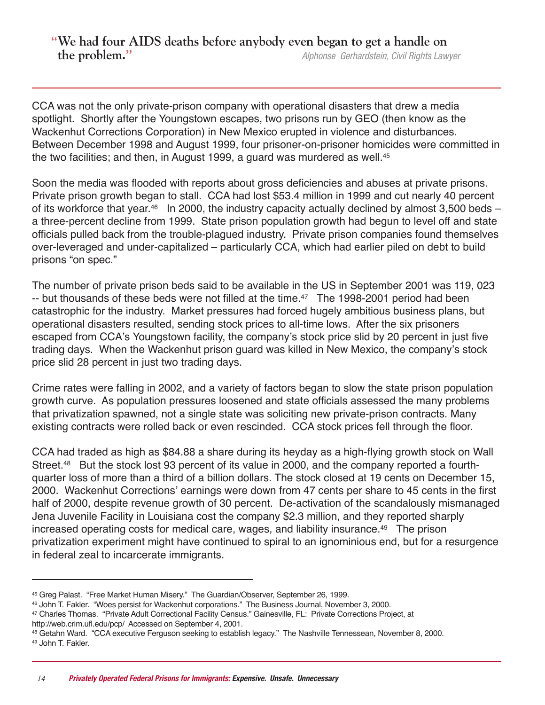# **We had four AIDS deaths before anybody even began to get a handle on the problem.** *Alphonse Gerhardstein, Civil Rights Lawyer*

CCA was not the only private-prison company with operational disasters that drew a media spotlight. Shortly after the Youngstown escapes, two prisons run by GEO (then know as the Wackenhut Corrections Corporation) in New Mexico erupted in violence and disturbances. Between December 1998 and August 1999, four prisoner-on-prisoner homicides were committed in the two facilities; and then, in August 1999, a guard was murdered as well. 45

Soon the media was flooded with reports about gross deficiencies and abuses at private prisons. Private prison growth began to stall. CCA had lost \$53.4 million in 1999 and cut nearly 40 percent of its workforce that year.<sup>46</sup> In 2000, the industry capacity actually declined by almost 3,500 beds a three-percent decline from 1999. State prison population growth had begun to level off and state officials pulled back from the trouble-plagued industry. Private prison companies found themselves over-leveraged and under-capitalized – particularly CCA, which had earlier piled on debt to build prisons "on spec."

The number of private prison beds said to be available in the US in September 2001 was 119, 023 -- but thousands of these beds were not filled at the time. <sup>47</sup> The 1998-2001 period had been catastrophic for the industry. Market pressures had forced hugely ambitious business plans, but operational disasters resulted, sending stock prices to all-time lows. After the six prisoners escaped from CCA's Youngstown facility, the company's stock price slid by 20 percent in just five trading days. When the Wackenhut prison guard was killed in New Mexico, the company's stock price slid 28 percent in just two trading days.

Crime rates were falling in 2002, and a variety of factors began to slow the state prison population growth curve. As population pressures loosened and state officials assessed the many problems that privatization spawned, not a single state was soliciting new private-prison contracts. Many existing contracts were rolled back or even rescinded. CCA stock prices fell through the floor.

CCA had traded as high as \$84.88 a share during its heyday as a high-flying growth stock on Wall Street.<sup>48</sup> But the stock lost 93 percent of its value in 2000, and the company reported a fourthquarter loss of more than a third of a billion dollars. The stock closed at 19 cents on December 15, 2000. Wackenhut Corrections' earnings were down from 47 cents per share to 45 cents in the first half of 2000, despite revenue growth of 30 percent. De-activation of the scandalously mismanaged Jena Juvenile Facility in Louisiana cost the company \$2.3 million, and they reported sharply increased operating costs for medical care, wages, and liability insurance. <sup>49</sup> The prison privatization experiment might have continued to spiral to an ignominious end, but for a resurgence in federal zeal to incarcerate immigrants.

<sup>45</sup> Greg Palast. "Free Market Human Misery." The Guardian/Observer, September 26, 1999.

<sup>46</sup> John T. Fakler. "Woes persist for Wackenhut corporations." The Business Journal, November 3, 2000.

<sup>47</sup> Charles Thomas. "Private Adult Correctional Facility Census." Gainesville, FL: Private Corrections Project, at http://web.crim.ufl.edu/pcp/ Accessed on September 4, 2001.

<sup>48</sup> Getahn Ward. "CCA executive Ferguson seeking to establish legacy." The Nashville Tennessean, November 8, 2000. <sup>49</sup> John T. Fakler.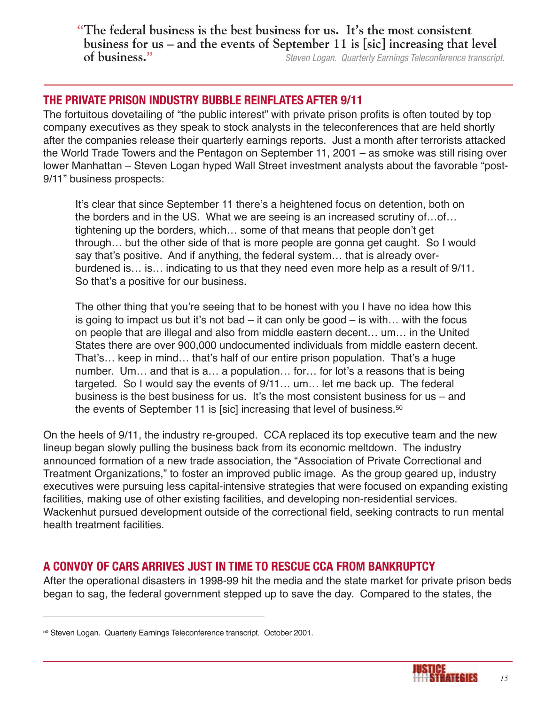**The federal business is the best business for us. It's the most consistent business for us – and the events of September 11 is [sic] increasing that level of business.** *Steven Logan. Quarterly Earnings Teleconference transcript.*

# **tHE PriVAtE Prison industrY BuBBLE rEinFLAtEs AFtEr 9/11**

The fortuitous dovetailing of "the public interest" with private prison profits is often touted by top company executives as they speak to stock analysts in the teleconferences that are held shortly after the companies release their quarterly earnings reports. Just a month after terrorists attacked the World Trade Towers and the Pentagon on September 11, 2001 – as smoke was still rising over lower Manhattan – Steven Logan hyped Wall Street investment analysts about the favorable "post-9/11" business prospects:

It's clear that since September 11 there's a heightened focus on detention, both on the borders and in the US. What we are seeing is an increased scrutiny of…of… tightening up the borders, which… some of that means that people don't get through… but the other side of that is more people are gonna get caught. So I would say that's positive. And if anything, the federal system… that is already overburdened is… is… indicating to us that they need even more help as a result of 9/11. So that's a positive for our business.

The other thing that you're seeing that to be honest with you I have no idea how this is going to impact us but it's not bad – it can only be good – is with... with the focus on people that are illegal and also from middle eastern decent… um… in the United States there are over 900,000 undocumented individuals from middle eastern decent. That's… keep in mind… that's half of our entire prison population. That's a huge number. Um… and that is a… a population… for… for lot's a reasons that is being targeted. So I would say the events of 9/11… um… let me back up. The federal business is the best business for us. It's the most consistent business for us – and the events of September 11 is [sic] increasing that level of business.<sup>50</sup>

On the heels of 9/11, the industry re-grouped. CCA replaced its top executive team and the new lineup began slowly pulling the business back from its economic meltdown. The industry announced formation of a new trade association, the "Association of Private Correctional and Treatment Organizations," to foster an improved public image. As the group geared up, industry executives were pursuing less capital-intensive strategies that were focused on expanding existing facilities, making use of other existing facilities, and developing non-residential services. Wackenhut pursued development outside of the correctional field, seeking contracts to run mental health treatment facilities.

# **A conVoY oF cArs ArriVEs Just in tiME to rEscuE ccA FroM BAnKruPtcY**

After the operational disasters in 1998-99 hit the media and the state market for private prison beds began to sag, the federal government stepped up to save the day. Compared to the states, the



<sup>50</sup> Steven Logan. Quarterly Earnings Teleconference transcript. October 2001.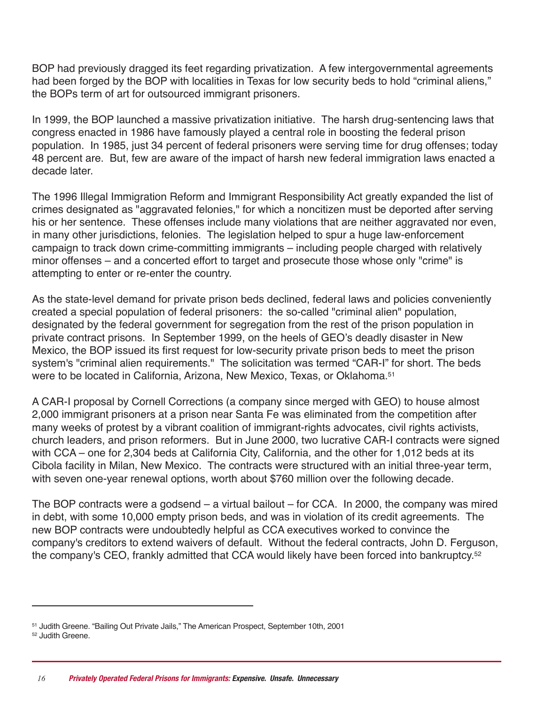BOP had previously dragged its feet regarding privatization. A few intergovernmental agreements had been forged by the BOP with localities in Texas for low security beds to hold "criminal aliens," the BOPs term of art for outsourced immigrant prisoners.

In 1999, the BOP launched a massive privatization initiative. The harsh drug-sentencing laws that congress enacted in 1986 have famously played a central role in boosting the federal prison population. In 1985, just 34 percent of federal prisoners were serving time for drug offenses; today 48 percent are. But, few are aware of the impact of harsh new federal immigration laws enacted a decade later.

The 1996 Illegal Immigration Reform and Immigrant Responsibility Act greatly expanded the list of crimes designated as "aggravated felonies," for which a noncitizen must be deported after serving his or her sentence. These offenses include many violations that are neither aggravated nor even, in many other jurisdictions, felonies. The legislation helped to spur a huge law-enforcement campaign to track down crime-committing immigrants – including people charged with relatively minor offenses – and a concerted effort to target and prosecute those whose only "crime" is attempting to enter or re-enter the country.

As the state-level demand for private prison beds declined, federal laws and policies conveniently created a special population of federal prisoners: the so-called "criminal alien" population, designated by the federal government for segregation from the rest of the prison population in private contract prisons. In September 1999, on the heels of GEO's deadly disaster in New Mexico, the BOP issued its first request for low-security private prison beds to meet the prison system's "criminal alien requirements." The solicitation was termed "CAR-I" for short. The beds were to be located in California, Arizona, New Mexico, Texas, or Oklahoma. 51

A CAR-I proposal by Cornell Corrections (a company since merged with GEO) to house almost 2,000 immigrant prisoners at a prison near Santa Fe was eliminated from the competition after many weeks of protest by a vibrant coalition of immigrant-rights advocates, civil rights activists, church leaders, and prison reformers. But in June 2000, two lucrative CAR-I contracts were signed with CCA – one for 2,304 beds at California City, California, and the other for 1,012 beds at its Cibola facility in Milan, New Mexico. The contracts were structured with an initial three-year term, with seven one-year renewal options, worth about \$760 million over the following decade.

The BOP contracts were a godsend – a virtual bailout – for CCA. In 2000, the company was mired in debt, with some 10,000 empty prison beds, and was in violation of its credit agreements. The new BOP contracts were undoubtedly helpful as CCA executives worked to convince the company's creditors to extend waivers of default. Without the federal contracts, John D. Ferguson, the company's CEO, frankly admitted that CCA would likely have been forced into bankruptcy. 52

<sup>51</sup> Judith Greene. "Bailing Out Private Jails," The American Prospect, September 10th, 2001 <sup>52</sup> Judith Greene.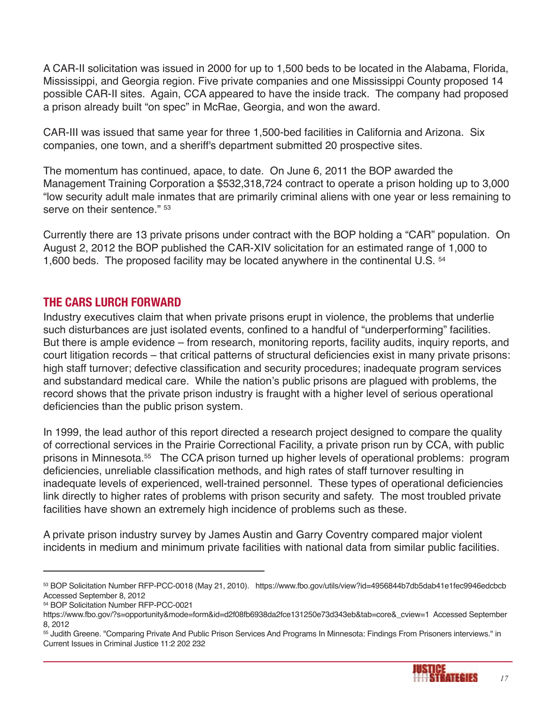A CAR-II solicitation was issued in 2000 for up to 1,500 beds to be located in the Alabama, Florida, Mississippi, and Georgia region. Five private companies and one Mississippi County proposed 14 possible CAR-II sites. Again, CCA appeared to have the inside track. The company had proposed a prison already built "on spec" in McRae, Georgia, and won the award.

CAR-III was issued that same year for three 1,500-bed facilities in California and Arizona. Six companies, one town, and a sheriff's department submitted 20 prospective sites.

The momentum has continued, apace, to date. On June 6, 2011 the BOP awarded the Management Training Corporation a \$532,318,724 contract to operate a prison holding up to 3,000 "low security adult male inmates that are primarily criminal aliens with one year or less remaining to serve on their sentence." 53

Currently there are 13 private prisons under contract with the BOP holding a "CAR" population. On August 2, 2012 the BOP published the CAR-XIV solicitation for an estimated range of 1,000 to 1,600 beds. The proposed facility may be located anywhere in the continental U.S. <sup>54</sup>

## **tHE cArs LurcH ForWArd**

Industry executives claim that when private prisons erupt in violence, the problems that underlie such disturbances are just isolated events, confined to a handful of "underperforming" facilities. But there is ample evidence – from research, monitoring reports, facility audits, inquiry reports, and court litigation records – that critical patterns of structural deficiencies exist in many private prisons: high staff turnover; defective classification and security procedures; inadequate program services and substandard medical care. While the nation's public prisons are plagued with problems, the record shows that the private prison industry is fraught with a higher level of serious operational deficiencies than the public prison system.

In 1999, the lead author of this report directed a research project designed to compare the quality of correctional services in the Prairie Correctional Facility, a private prison run by CCA, with public prisons in Minnesota. <sup>55</sup> The CCA prison turned up higher levels of operational problems: program deficiencies, unreliable classification methods, and high rates of staff turnover resulting in inadequate levels of experienced, well-trained personnel. These types of operational deficiencies link directly to higher rates of problems with prison security and safety. The most troubled private facilities have shown an extremely high incidence of problems such as these.

A private prison industry survey by James Austin and Garry Coventry compared major violent incidents in medium and minimum private facilities with national data from similar public facilities.

<sup>55</sup> Judith Greene. "Comparing Private And Public Prison Services And Programs In Minnesota: Findings From Prisoners interviews." in Current Issues in Criminal Justice 11:2 202 232



<sup>53</sup> BOP Solicitation Number RFP-PCC-0018 (May 21, 2010). https://www.fbo.gov/utils/view?id=4956844b7db5dab41e1fec9946edcbcb Accessed September 8, 2012

<sup>54</sup> BOP Solicitation Number RFP-PCC-0021

https://www.fbo.gov/?s=opportunity&mode=form&id=d2f08fb6938da2fce131250e73d343eb&tab=core&\_cview=1 Accessed September 8, 2012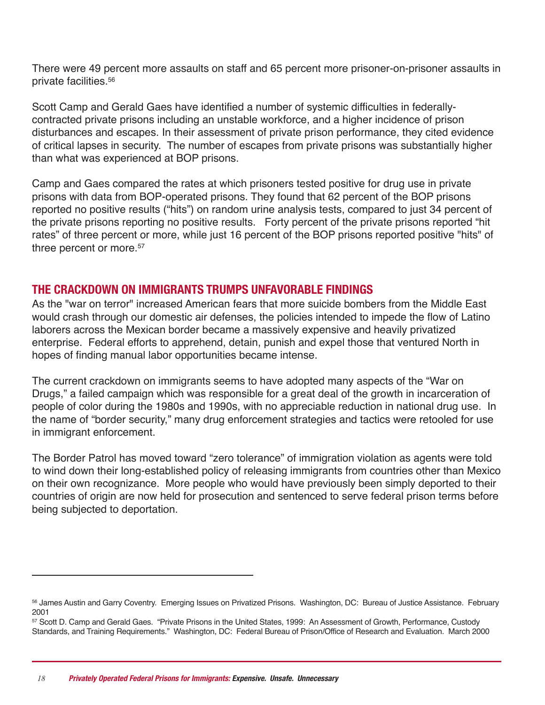There were 49 percent more assaults on staff and 65 percent more prisoner-on-prisoner assaults in private facilities. 56

Scott Camp and Gerald Gaes have identified a number of systemic difficulties in federallycontracted private prisons including an unstable workforce, and a higher incidence of prison disturbances and escapes. In their assessment of private prison performance, they cited evidence of critical lapses in security. The number of escapes from private prisons was substantially higher than what was experienced at BOP prisons.

Camp and Gaes compared the rates at which prisoners tested positive for drug use in private prisons with data from BOP-operated prisons. They found that 62 percent of the BOP prisons reported no positive results ("hits") on random urine analysis tests, compared to just 34 percent of the private prisons reporting no positive results. Forty percent of the private prisons reported "hit rates" of three percent or more, while just 16 percent of the BOP prisons reported positive "hits" of three percent or more. 57

## **tHE crAcKdoWn on iMMiGrAnts truMPs unFAVorABLE FindinGs**

As the "war on terror" increased American fears that more suicide bombers from the Middle East would crash through our domestic air defenses, the policies intended to impede the flow of Latino laborers across the Mexican border became a massively expensive and heavily privatized enterprise. Federal efforts to apprehend, detain, punish and expel those that ventured North in hopes of finding manual labor opportunities became intense.

The current crackdown on immigrants seems to have adopted many aspects of the "War on Drugs," a failed campaign which was responsible for a great deal of the growth in incarceration of people of color during the 1980s and 1990s, with no appreciable reduction in national drug use. In the name of "border security," many drug enforcement strategies and tactics were retooled for use in immigrant enforcement.

The Border Patrol has moved toward "zero tolerance" of immigration violation as agents were told to wind down their long-established policy of releasing immigrants from countries other than Mexico on their own recognizance. More people who would have previously been simply deported to their countries of origin are now held for prosecution and sentenced to serve federal prison terms before being subjected to deportation.

<sup>56</sup> James Austin and Garry Coventry. Emerging Issues on Privatized Prisons. Washington, DC: Bureau of Justice Assistance. February 2001

<sup>57</sup> Scott D. Camp and Gerald Gaes. "Private Prisons in the United States, 1999: An Assessment of Growth, Performance, Custody Standards, and Training Requirements." Washington, DC: Federal Bureau of Prison/Office of Research and Evaluation. March 2000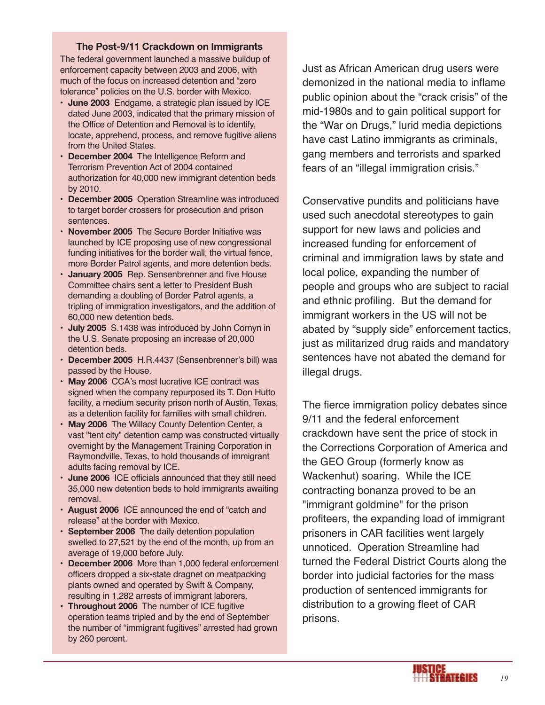#### **The Post-9/11 Crackdown on Immigrants**

The federal government launched a massive buildup of enforcement capacity between 2003 and 2006, with much of the focus on increased detention and "zero tolerance" policies on the U.S. border with Mexico.

- **June 2003** Endgame, a strategic plan issued by ICE dated June 2003, indicated that the primary mission of the Office of Detention and Removal is to identify, locate, apprehend, process, and remove fugitive aliens from the United States.
- **December 2004** The Intelligence Reform and Terrorism Prevention Act of 2004 contained authorization for 40,000 new immigrant detention beds by 2010.
- **December 2005** Operation Streamline was introduced to target border crossers for prosecution and prison sentences.
- **November 2005** The Secure Border Initiative was launched by ICE proposing use of new congressional funding initiatives for the border wall, the virtual fence, more Border Patrol agents, and more detention beds.
- **January 2005** Rep. Sensenbrenner and five House Committee chairs sent a letter to President Bush demanding a doubling of Border Patrol agents, a tripling of immigration investigators, and the addition of 60,000 new detention beds.
- **July 2005** S.1438 was introduced by John Cornyn in the U.S. Senate proposing an increase of 20,000 detention beds.
- **December 2005** H.R.4437 (Sensenbrenner's bill) was passed by the House.
- **May 2006** CCA's most lucrative ICE contract was signed when the company repurposed its T. Don Hutto facility, a medium security prison north of Austin, Texas, as a detention facility for families with small children.
- **May 2006** The Willacy County Detention Center, a vast "tent city" detention camp was constructed virtually overnight by the Management Training Corporation in Raymondville, Texas, to hold thousands of immigrant adults facing removal by ICE.
- **June 2006** ICE officials announced that they still need 35,000 new detention beds to hold immigrants awaiting removal.
- **August 2006** ICE announced the end of "catch and release" at the border with Mexico.
- **September 2006** The daily detention population swelled to 27,521 by the end of the month, up from an average of 19,000 before July.
- **December 2006** More than 1,000 federal enforcement officers dropped a six-state dragnet on meatpacking plants owned and operated by Swift & Company, resulting in 1,282 arrests of immigrant laborers.
- **Throughout 2006** The number of ICE fugitive operation teams tripled and by the end of September the number of "immigrant fugitives" arrested had grown by 260 percent.

Just as African American drug users were demonized in the national media to inflame public opinion about the "crack crisis" of the mid-1980s and to gain political support for the "War on Drugs," lurid media depictions have cast Latino immigrants as criminals, gang members and terrorists and sparked fears of an "illegal immigration crisis."

Conservative pundits and politicians have used such anecdotal stereotypes to gain support for new laws and policies and increased funding for enforcement of criminal and immigration laws by state and local police, expanding the number of people and groups who are subject to racial and ethnic profiling. But the demand for immigrant workers in the US will not be abated by "supply side" enforcement tactics, just as militarized drug raids and mandatory sentences have not abated the demand for illegal drugs.

The fierce immigration policy debates since 9/11 and the federal enforcement crackdown have sent the price of stock in the Corrections Corporation of America and the GEO Group (formerly know as Wackenhut) soaring. While the ICE contracting bonanza proved to be an "immigrant goldmine" for the prison profiteers, the expanding load of immigrant prisoners in CAR facilities went largely unnoticed. Operation Streamline had turned the Federal District Courts along the border into judicial factories for the mass production of sentenced immigrants for distribution to a growing fleet of CAR prisons.

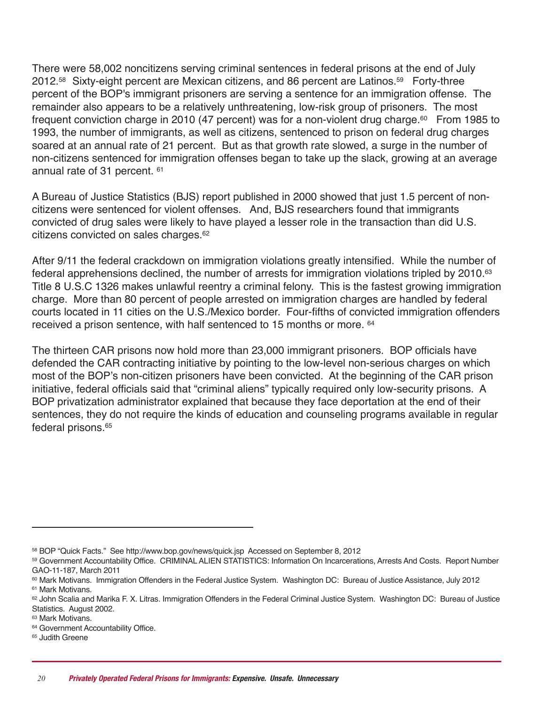There were 58,002 noncitizens serving criminal sentences in federal prisons at the end of July 2012. <sup>58</sup> Sixty-eight percent are Mexican citizens, and 86 percent are Latinos. <sup>59</sup> Forty-three percent of the BOP's immigrant prisoners are serving a sentence for an immigration offense. The remainder also appears to be a relatively unthreatening, low-risk group of prisoners. The most frequent conviction charge in 2010 (47 percent) was for a non-violent drug charge.<sup>60</sup> From 1985 to 1993, the number of immigrants, as well as citizens, sentenced to prison on federal drug charges soared at an annual rate of 21 percent. But as that growth rate slowed, a surge in the number of non-citizens sentenced for immigration offenses began to take up the slack, growing at an average annual rate of 31 percent. <sup>61</sup>

A Bureau of Justice Statistics (BJS) report published in 2000 showed that just 1.5 percent of noncitizens were sentenced for violent offenses. And, BJS researchers found that immigrants convicted of drug sales were likely to have played a lesser role in the transaction than did U.S. citizens convicted on sales charges. 62

After 9/11 the federal crackdown on immigration violations greatly intensified. While the number of federal apprehensions declined, the number of arrests for immigration violations tripled by 2010. 63 Title 8 U.S.C 1326 makes unlawful reentry a criminal felony. This is the fastest growing immigration charge. More than 80 percent of people arrested on immigration charges are handled by federal courts located in 11 cities on the U.S./Mexico border. Four-fifths of convicted immigration offenders received a prison sentence, with half sentenced to 15 months or more. <sup>64</sup>

The thirteen CAR prisons now hold more than 23,000 immigrant prisoners. BOP officials have defended the CAR contracting initiative by pointing to the low-level non-serious charges on which most of the BOP's non-citizen prisoners have been convicted. At the beginning of the CAR prison initiative, federal officials said that "criminal aliens" typically required only low-security prisons. A BOP privatization administrator explained that because they face deportation at the end of their sentences, they do not require the kinds of education and counseling programs available in regular federal prisons. 65

<sup>58</sup> BOP "Quick Facts." See http://www.bop.gov/news/quick.jsp Accessed on September 8, 2012

<sup>59</sup> Government Accountability Office. CRIMINAL ALIEN STATISTICS: Information On Incarcerations, Arrests And Costs. Report Number GAO-11-187, March 2011

<sup>60</sup> Mark Motivans. Immigration Offenders in the Federal Justice System. Washington DC: Bureau of Justice Assistance, July 2012 <sup>61</sup> Mark Motivans.

<sup>62</sup> John Scalia and Marika F. X. Litras. Immigration Offenders in the Federal Criminal Justice System. Washington DC: Bureau of Justice Statistics. August 2002.

<sup>63</sup> Mark Motivans.

<sup>&</sup>lt;sup>64</sup> Government Accountability Office.

<sup>&</sup>lt;sup>65</sup> Judith Greene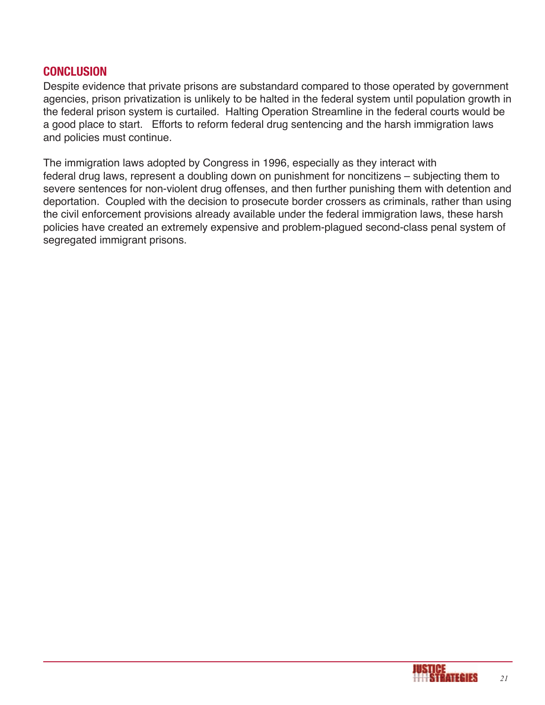#### **concLusion**

Despite evidence that private prisons are substandard compared to those operated by government agencies, prison privatization is unlikely to be halted in the federal system until population growth in the federal prison system is curtailed. Halting Operation Streamline in the federal courts would be a good place to start. Efforts to reform federal drug sentencing and the harsh immigration laws and policies must continue.

The immigration laws adopted by Congress in 1996, especially as they interact with federal drug laws, represent a doubling down on punishment for noncitizens – subjecting them to severe sentences for non-violent drug offenses, and then further punishing them with detention and deportation. Coupled with the decision to prosecute border crossers as criminals, rather than using the civil enforcement provisions already available under the federal immigration laws, these harsh policies have created an extremely expensive and problem-plagued second-class penal system of segregated immigrant prisons.